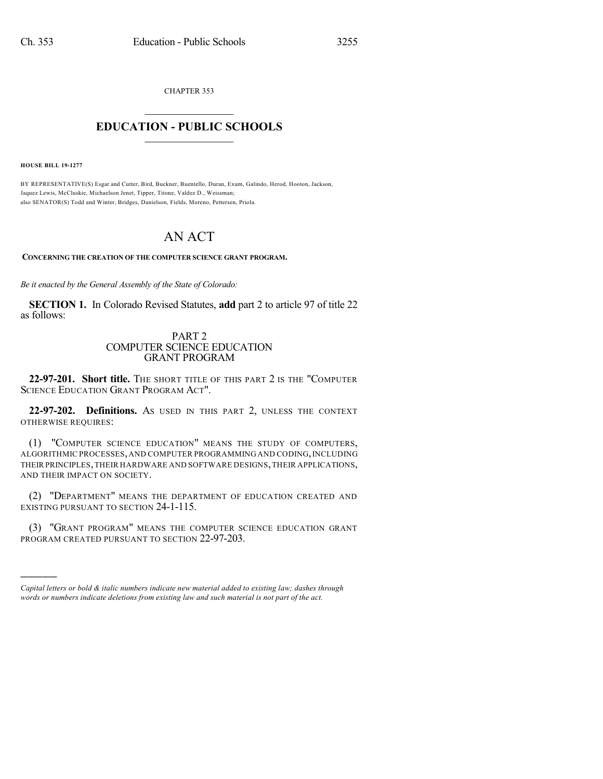CHAPTER 353

## $\mathcal{L}_\text{max}$  . The set of the set of the set of the set of the set of the set of the set of the set of the set of the set of the set of the set of the set of the set of the set of the set of the set of the set of the set **EDUCATION - PUBLIC SCHOOLS**  $\_$   $\_$   $\_$   $\_$   $\_$   $\_$   $\_$   $\_$   $\_$

**HOUSE BILL 19-1277**

)))))

BY REPRESENTATIVE(S) Esgar and Cutter, Bird, Buckner, Buentello, Duran, Exum, Galindo, Herod, Hooton, Jackson, Jaquez Lewis, McCluskie, Michaelson Jenet, Tipper, Titone, Valdez D., Weissman; also SENATOR(S) Todd and Winter, Bridges, Danielson, Fields, Moreno, Pettersen, Priola.

## AN ACT

**CONCERNING THE CREATION OF THE COMPUTER SCIENCE GRANT PROGRAM.**

*Be it enacted by the General Assembly of the State of Colorado:*

**SECTION 1.** In Colorado Revised Statutes, **add** part 2 to article 97 of title 22 as follows:

## PART 2 COMPUTER SCIENCE EDUCATION GRANT PROGRAM

**22-97-201. Short title.** THE SHORT TITLE OF THIS PART 2 IS THE "COMPUTER SCIENCE EDUCATION GRANT PROGRAM ACT".

**22-97-202. Definitions.** AS USED IN THIS PART 2, UNLESS THE CONTEXT OTHERWISE REQUIRES:

(1) "COMPUTER SCIENCE EDUCATION" MEANS THE STUDY OF COMPUTERS, ALGORITHMIC PROCESSES,AND COMPUTER PROGRAMMING AND CODING,INCLUDING THEIR PRINCIPLES,THEIR HARDWARE AND SOFTWARE DESIGNS,THEIR APPLICATIONS, AND THEIR IMPACT ON SOCIETY.

(2) "DEPARTMENT" MEANS THE DEPARTMENT OF EDUCATION CREATED AND EXISTING PURSUANT TO SECTION 24-1-115.

(3) "GRANT PROGRAM" MEANS THE COMPUTER SCIENCE EDUCATION GRANT PROGRAM CREATED PURSUANT TO SECTION 22-97-203.

*Capital letters or bold & italic numbers indicate new material added to existing law; dashes through words or numbers indicate deletions from existing law and such material is not part of the act.*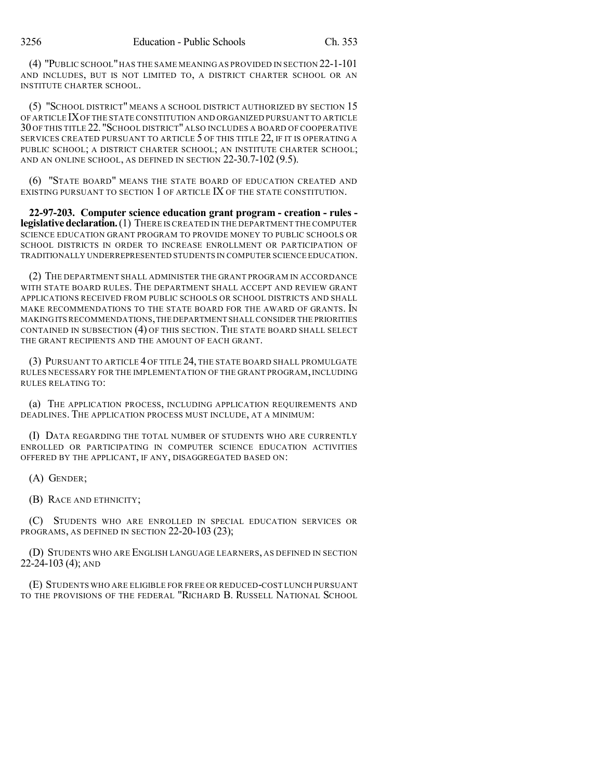(4) "PUBLIC SCHOOL"HAS THE SAME MEANING AS PROVIDED IN SECTION 22-1-101 AND INCLUDES, BUT IS NOT LIMITED TO, A DISTRICT CHARTER SCHOOL OR AN INSTITUTE CHARTER SCHOOL.

(5) "SCHOOL DISTRICT" MEANS A SCHOOL DISTRICT AUTHORIZED BY SECTION 15 OF ARTICLE IXOF THE STATE CONSTITUTION AND ORGANIZED PURSUANT TO ARTICLE 30 OF THIS TITLE 22. "SCHOOL DISTRICT" ALSO INCLUDES A BOARD OF COOPERATIVE SERVICES CREATED PURSUANT TO ARTICLE 5 OF THIS TITLE 22, IF IT IS OPERATING A PUBLIC SCHOOL; A DISTRICT CHARTER SCHOOL; AN INSTITUTE CHARTER SCHOOL; AND AN ONLINE SCHOOL, AS DEFINED IN SECTION 22-30.7-102 (9.5).

(6) "STATE BOARD" MEANS THE STATE BOARD OF EDUCATION CREATED AND EXISTING PURSUANT TO SECTION 1 OF ARTICLE IX OF THE STATE CONSTITUTION.

**22-97-203. Computer science education grant program - creation - rules legislativedeclaration.**(1) THERE IS CREATED IN THE DEPARTMENT THE COMPUTER SCIENCE EDUCATION GRANT PROGRAM TO PROVIDE MONEY TO PUBLIC SCHOOLS OR SCHOOL DISTRICTS IN ORDER TO INCREASE ENROLLMENT OR PARTICIPATION OF TRADITIONALLY UNDERREPRESENTED STUDENTS IN COMPUTER SCIENCE EDUCATION.

(2) THE DEPARTMENT SHALL ADMINISTER THE GRANT PROGRAM IN ACCORDANCE WITH STATE BOARD RULES. THE DEPARTMENT SHALL ACCEPT AND REVIEW GRANT APPLICATIONS RECEIVED FROM PUBLIC SCHOOLS OR SCHOOL DISTRICTS AND SHALL MAKE RECOMMENDATIONS TO THE STATE BOARD FOR THE AWARD OF GRANTS. IN MAKING ITS RECOMMENDATIONS,THE DEPARTMENT SHALL CONSIDER THE PRIORITIES CONTAINED IN SUBSECTION (4) OF THIS SECTION. THE STATE BOARD SHALL SELECT THE GRANT RECIPIENTS AND THE AMOUNT OF EACH GRANT.

(3) PURSUANT TO ARTICLE 4 OF TITLE 24, THE STATE BOARD SHALL PROMULGATE RULES NECESSARY FOR THE IMPLEMENTATION OF THE GRANT PROGRAM, INCLUDING RULES RELATING TO:

(a) THE APPLICATION PROCESS, INCLUDING APPLICATION REQUIREMENTS AND DEADLINES. THE APPLICATION PROCESS MUST INCLUDE, AT A MINIMUM:

(I) DATA REGARDING THE TOTAL NUMBER OF STUDENTS WHO ARE CURRENTLY ENROLLED OR PARTICIPATING IN COMPUTER SCIENCE EDUCATION ACTIVITIES OFFERED BY THE APPLICANT, IF ANY, DISAGGREGATED BASED ON:

(A) GENDER;

(B) RACE AND ETHNICITY;

(C) STUDENTS WHO ARE ENROLLED IN SPECIAL EDUCATION SERVICES OR PROGRAMS, AS DEFINED IN SECTION 22-20-103 (23);

(D) STUDENTS WHO ARE ENGLISH LANGUAGE LEARNERS, AS DEFINED IN SECTION 22-24-103 (4); AND

(E) STUDENTS WHO ARE ELIGIBLE FOR FREE OR REDUCED-COST LUNCH PURSUANT TO THE PROVISIONS OF THE FEDERAL "RICHARD B. RUSSELL NATIONAL SCHOOL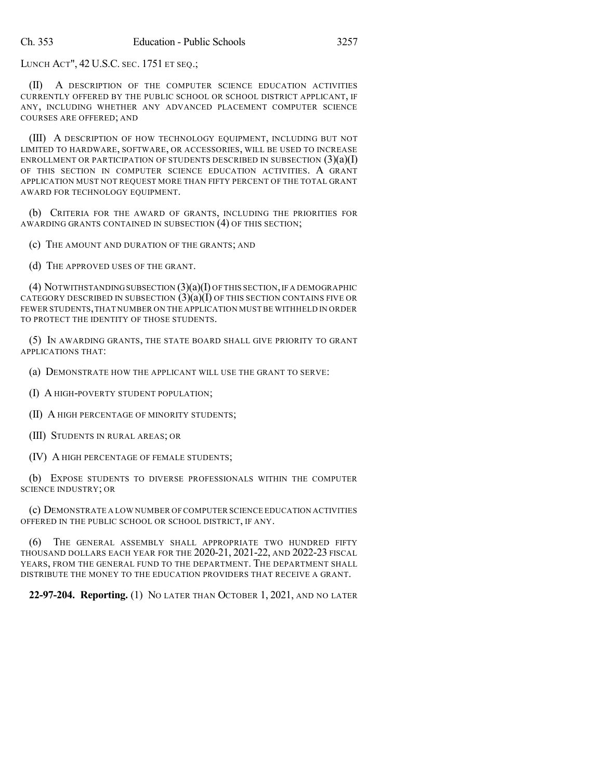LUNCH ACT", 42 U.S.C. SEC. 1751 ET SEQ.;

(II) A DESCRIPTION OF THE COMPUTER SCIENCE EDUCATION ACTIVITIES CURRENTLY OFFERED BY THE PUBLIC SCHOOL OR SCHOOL DISTRICT APPLICANT, IF ANY, INCLUDING WHETHER ANY ADVANCED PLACEMENT COMPUTER SCIENCE COURSES ARE OFFERED; AND

(III) A DESCRIPTION OF HOW TECHNOLOGY EQUIPMENT, INCLUDING BUT NOT LIMITED TO HARDWARE, SOFTWARE, OR ACCESSORIES, WILL BE USED TO INCREASE ENROLLMENT OR PARTICIPATION OF STUDENTS DESCRIBED IN SUBSECTION  $(3)(a)(I)$ OF THIS SECTION IN COMPUTER SCIENCE EDUCATION ACTIVITIES. A GRANT APPLICATION MUST NOT REQUEST MORE THAN FIFTY PERCENT OF THE TOTAL GRANT AWARD FOR TECHNOLOGY EQUIPMENT.

(b) CRITERIA FOR THE AWARD OF GRANTS, INCLUDING THE PRIORITIES FOR AWARDING GRANTS CONTAINED IN SUBSECTION (4) OF THIS SECTION;

(c) THE AMOUNT AND DURATION OF THE GRANTS; AND

(d) THE APPROVED USES OF THE GRANT.

(4) NOTWITHSTANDING SUBSECTION  $(3)(a)(I)$  OF THIS SECTION, IF A DEMOGRAPHIC CATEGORY DESCRIBED IN SUBSECTION  $(3)(a)(I)$  OF THIS SECTION CONTAINS FIVE OR FEWER STUDENTS,THAT NUMBER ON THE APPLICATION MUSTBE WITHHELD IN ORDER TO PROTECT THE IDENTITY OF THOSE STUDENTS.

(5) IN AWARDING GRANTS, THE STATE BOARD SHALL GIVE PRIORITY TO GRANT APPLICATIONS THAT:

(a) DEMONSTRATE HOW THE APPLICANT WILL USE THE GRANT TO SERVE:

(I) A HIGH-POVERTY STUDENT POPULATION;

(II) A HIGH PERCENTAGE OF MINORITY STUDENTS;

(III) STUDENTS IN RURAL AREAS; OR

(IV) A HIGH PERCENTAGE OF FEMALE STUDENTS;

(b) EXPOSE STUDENTS TO DIVERSE PROFESSIONALS WITHIN THE COMPUTER SCIENCE INDUSTRY; OR

(c) DEMONSTRATE A LOW NUMBER OF COMPUTER SCIENCE EDUCATION ACTIVITIES OFFERED IN THE PUBLIC SCHOOL OR SCHOOL DISTRICT, IF ANY.

(6) THE GENERAL ASSEMBLY SHALL APPROPRIATE TWO HUNDRED FIFTY THOUSAND DOLLARS EACH YEAR FOR THE 2020-21, 2021-22, AND 2022-23 FISCAL YEARS, FROM THE GENERAL FUND TO THE DEPARTMENT. THE DEPARTMENT SHALL DISTRIBUTE THE MONEY TO THE EDUCATION PROVIDERS THAT RECEIVE A GRANT.

**22-97-204. Reporting.** (1) NO LATER THAN OCTOBER 1, 2021, AND NO LATER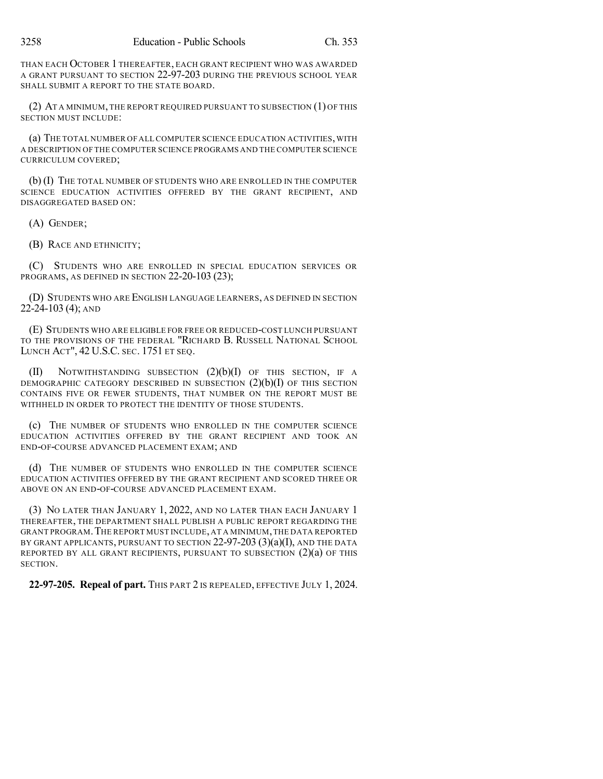THAN EACH OCTOBER 1 THEREAFTER, EACH GRANT RECIPIENT WHO WAS AWARDED A GRANT PURSUANT TO SECTION 22-97-203 DURING THE PREVIOUS SCHOOL YEAR SHALL SUBMIT A REPORT TO THE STATE BOARD.

(2) AT A MINIMUM, THE REPORT REQUIRED PURSUANT TO SUBSECTION (1) OF THIS SECTION MUST INCLUDE:

(a) THE TOTAL NUMBER OF ALL COMPUTER SCIENCE EDUCATION ACTIVITIES,WITH A DESCRIPTION OF THE COMPUTER SCIENCE PROGRAMS AND THE COMPUTER SCIENCE CURRICULUM COVERED;

(b) (I) THE TOTAL NUMBER OF STUDENTS WHO ARE ENROLLED IN THE COMPUTER SCIENCE EDUCATION ACTIVITIES OFFERED BY THE GRANT RECIPIENT, AND DISAGGREGATED BASED ON:

(A) GENDER;

(B) RACE AND ETHNICITY;

(C) STUDENTS WHO ARE ENROLLED IN SPECIAL EDUCATION SERVICES OR PROGRAMS, AS DEFINED IN SECTION 22-20-103 (23);

(D) STUDENTS WHO ARE ENGLISH LANGUAGE LEARNERS, AS DEFINED IN SECTION 22-24-103 (4); AND

(E) STUDENTS WHO ARE ELIGIBLE FOR FREE OR REDUCED-COST LUNCH PURSUANT TO THE PROVISIONS OF THE FEDERAL "RICHARD B. RUSSELL NATIONAL SCHOOL LUNCH ACT", 42 U.S.C. SEC. 1751 ET SEQ.

(II) NOTWITHSTANDING SUBSECTION (2)(b)(I) OF THIS SECTION, IF A DEMOGRAPHIC CATEGORY DESCRIBED IN SUBSECTION  $(2)(b)(I)$  OF THIS SECTION CONTAINS FIVE OR FEWER STUDENTS, THAT NUMBER ON THE REPORT MUST BE WITHHELD IN ORDER TO PROTECT THE IDENTITY OF THOSE STUDENTS.

(c) THE NUMBER OF STUDENTS WHO ENROLLED IN THE COMPUTER SCIENCE EDUCATION ACTIVITIES OFFERED BY THE GRANT RECIPIENT AND TOOK AN END-OF-COURSE ADVANCED PLACEMENT EXAM; AND

(d) THE NUMBER OF STUDENTS WHO ENROLLED IN THE COMPUTER SCIENCE EDUCATION ACTIVITIES OFFERED BY THE GRANT RECIPIENT AND SCORED THREE OR ABOVE ON AN END-OF-COURSE ADVANCED PLACEMENT EXAM.

(3) NO LATER THAN JANUARY 1, 2022, AND NO LATER THAN EACH JANUARY 1 THEREAFTER, THE DEPARTMENT SHALL PUBLISH A PUBLIC REPORT REGARDING THE GRANT PROGRAM.THE REPORT MUST INCLUDE, AT A MINIMUM,THE DATA REPORTED BY GRANT APPLICANTS, PURSUANT TO SECTION  $22-97-203$   $(3)(a)(I)$ , and the DATA REPORTED BY ALL GRANT RECIPIENTS, PURSUANT TO SUBSECTION  $(2)(a)$  of this SECTION.

**22-97-205. Repeal of part.** THIS PART 2 IS REPEALED, EFFECTIVE JULY 1, 2024.